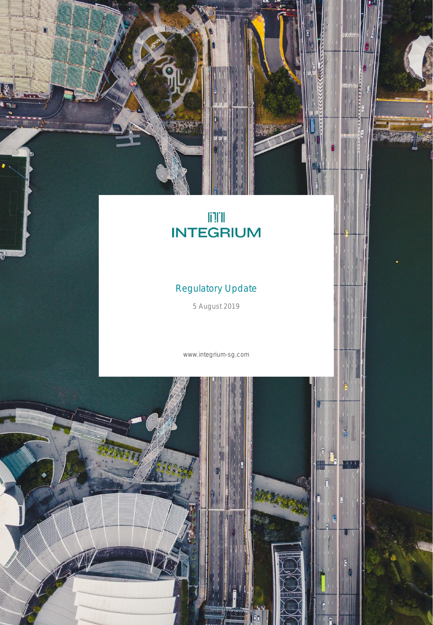# **ITE**<br>INTEGRIUM

ACCESSOR

# Regulatory Update

5 August 2019

www.integrium-sg.com

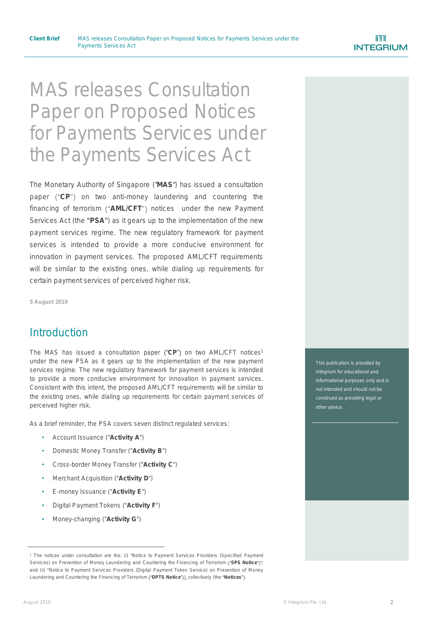# MAS releases Consultation Paper on Proposed Notices for Payments Services under the Payments Services Act

The Monetary Authority of Singapore ("**MAS**") has issued a consultation paper ("CP") on two anti-money laundering and countering the financing of terrorism ("AML/CFT") notices under the new Payment Services Act (the "PSA") as it gears up to the implementation of the new payment services regime. The new regulatory framework for payment services is intended to provide a more conducive environment for innovation in payment services. The proposed AML/CFT requirements will be similar to the existing ones, while dialing up requirements for certain payment services of perceived higher risk.

**5 August 2019**

#### **Introduction**

The MAS has issued a consultation paper ("CP") on two AML/CFT notices<sup>1</sup> under the new PSA as it gears up to the implementation of the new payment services regime. The new regulatory framework for payment services is intended to provide a more conducive environment for innovation in payment services. Consistent with this intent, the proposed AML/CFT requirements will be similar to the existing ones, while dialing up requirements for certain payment services of perceived higher risk.

As a brief reminder, the PSA covers seven distinct regulated services:

- Account Issuance ("**Activity A**")
- Domestic Money Transfer ("**Activity B**")
- Cross-border Money Transfer ("**Activity C**")
- Merchant Acquisition ("**Activity D**")
- E-money Issuance ("**Activity E**")
- Digital Payment Tokens ("**Activity F**")
- Money-changing ("**Activity G**")

This publication is provided by Integrium for educational and not intended and should not be construed as providing legal or other advice.

<sup>1</sup> The notices under consultation are the: (i) *Notice to Payment Services Providers (Specified Payment Services*) on Prevention of Money Laundering and Countering the Financing of Terrorism ("SPS Notice")" and (ii) *Notice to Payment Services Providers (Digital Payment Token Service) on Prevention of Money* Laundering and Countering the Financing of Terrorism ("DPTS Notice")), collectively (the "Notices").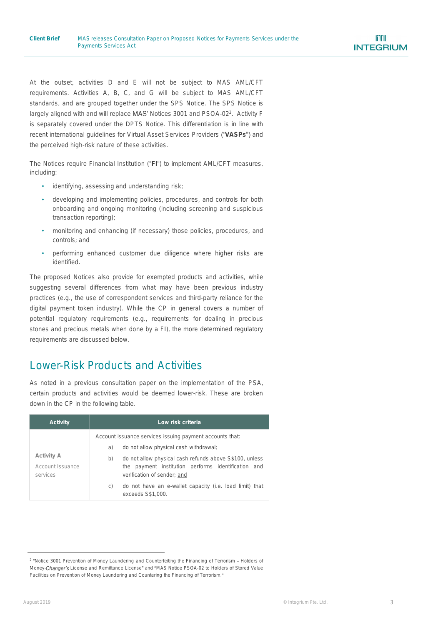At the outset, activities D and E will not be subject to MAS AML/CFT requirements. Activities A, B, C, and G will be subject to MAS AML/CFT standards, and are grouped together under the SPS Notice. The SPS Notice is largely aligned with and will replace MAS' Notices 3001 and PSOA-02<sup>2</sup>. Activity F is separately covered under the DPTS Notice. This differentiation is in line with recent international guidelines for Virtual Asset Services Providers ("VASPs") and the perceived high-risk nature of these activities.

The Notices require Financial Institution ("**FI**") to implement AML/CFT measures, including:

- identifying, assessing and understanding risk;
- developing and implementing policies, procedures, and controls for both onboarding and ongoing monitoring (including screening and suspicious transaction reporting);
- monitoring and enhancing (if necessary) those policies, procedures, and controls; and
- performing enhanced customer due diligence where higher risks are identified.

The proposed Notices also provide for exempted products and activities, while suggesting several differences from what may have been previous industry practices (e.g., the use of correspondent services and third-party reliance for the digital payment token industry). While the CP in general covers a number of potential regulatory requirements (e.g., requirements for dealing in precious stones and precious metals when done by a FI), the more determined regulatory requirements are discussed below.

# Lower-Risk Products and Activities

As noted in a previous consultation paper on the implementation of the PSA, certain products and activities would be deemed lower-risk. These are broken down in the CP in the following table.

| Activity                                   | Low risk criteria                                                                                                                                                                                                                                                                                                                                     |
|--------------------------------------------|-------------------------------------------------------------------------------------------------------------------------------------------------------------------------------------------------------------------------------------------------------------------------------------------------------------------------------------------------------|
| Activity A<br>Account Issuance<br>services | Account issuance services issuing payment accounts that:<br>do not allow physical cash withdrawal;<br>a)<br>do not allow physical cash refunds above S\$100, unless<br>b)<br>the payment institution performs identification and<br>verification of sender; and<br>do not have an e-wallet capacity (i.e. load limit) that<br>C)<br>exceeds S\$1,000. |

<sup>2</sup> *Notice 3001 Prevention of Money Laundering and Counterfeiting the Financing of Terrorism Holders of Money- License and Remittance License* and *MAS Notice PSOA-02 to Holders of Stored Value Facilities on Prevention of Money Laundering and Countering the Financing of Terrorism*.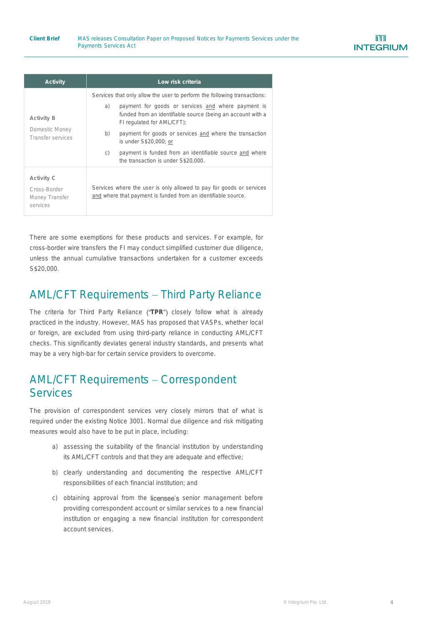| Activity                                                 | Low risk criteria                                                                                                                                                                                                                                                                                                                                                                                                                               |
|----------------------------------------------------------|-------------------------------------------------------------------------------------------------------------------------------------------------------------------------------------------------------------------------------------------------------------------------------------------------------------------------------------------------------------------------------------------------------------------------------------------------|
| Activity B<br>Domestic Money<br>Transfer services        | Services that only allow the user to perform the following transactions:<br>payment for goods or services and where payment is<br>a)<br>funded from an identifiable source (being an account with a<br>FI regulated for AML/CFT);<br>payment for goods or services and where the transaction<br>b)<br>is under S\$20,000; or<br>payment is funded from an identifiable source and where<br>$\mathcal{C}$<br>the transaction is under S\$20,000. |
| Activity C<br>Cross-Border<br>Money Transfer<br>services | Services where the user is only allowed to pay for goods or services<br>and where that payment is funded from an identifiable source.                                                                                                                                                                                                                                                                                                           |

There are some exemptions for these products and services. For example, for cross-border wire transfers the FI may conduct simplified customer due diligence, unless the annual cumulative transactions undertaken for a customer exceeds S\$20,000.

# AML/CFT Requirements - Third Party Reliance

The criteria for Third Party Reliance ("TPR") closely follow what is already practiced in the industry. However, MAS has proposed that VASPs, whether local or foreign, are excluded from using third-party reliance in conducting AML/CFT checks. This significantly deviates general industry standards, and presents what may be a very high-bar for certain service providers to overcome.

# AML/CFT Requirements - Correspondent **Services**

The provision of correspondent services very closely mirrors that of what is required under the existing Notice 3001. Normal due diligence and risk mitigating measures would also have to be put in place, including:

- a) assessing the suitability of the financial institution by understanding its AML/CFT controls and that they are adequate and effective;
- b) clearly understanding and documenting the respective AML/CFT responsibilities of each financial institution; and
- c) obtaining approval from the licensee's senior management before providing correspondent account or similar services to a new financial institution or engaging a new financial institution for correspondent account services.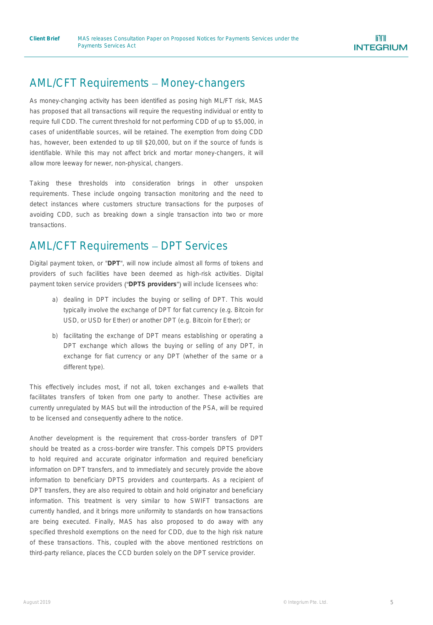## AML/CFT Requirements - Money-changers

As money-changing activity has been identified as posing high ML/FT risk, MAS has proposed that all transactions will require the requesting individual or entity to require full CDD. The current threshold for not performing CDD of up to \$5,000, in cases of unidentifiable sources, will be retained. The exemption from doing CDD has, however, been extended to up till \$20,000, but on if the source of funds is identifiable. While this may not affect brick and mortar money-changers, it will allow more leeway for newer, non-physical, changers.

Taking these thresholds into consideration brings in other unspoken requirements. These include ongoing transaction monitoring and the need to detect instances where customers structure transactions for the purposes of avoiding CDD, such as breaking down a single transaction into two or more transactions.

## AML/CFT Requirements - DPT Services

Digital payment token, or "**DPT**", will now include almost all forms of tokens and providers of such facilities have been deemed as high-risk activities. Digital payment token service providers ("DPTS providers") will include licensees who:

- a) dealing in DPT includes the buying or selling of DPT. This would typically involve the exchange of DPT for fiat currency (e.g. Bitcoin for USD, or USD for Ether) or another DPT (e.g. Bitcoin for Ether); or
- b) facilitating the exchange of DPT means establishing or operating a DPT exchange which allows the buying or selling of any DPT, in exchange for fiat currency or any DPT (whether of the same or a different type).

This effectively includes most, if not all, token exchanges and e-wallets that facilitates transfers of token from one party to another. These activities are currently unregulated by MAS but will the introduction of the PSA, will be required to be licensed and consequently adhere to the notice.

Another development is the requirement that cross-border transfers of DPT should be treated as a cross-border wire transfer. This compels DPTS providers to hold required and accurate originator information and required beneficiary information on DPT transfers, and to immediately and securely provide the above information to beneficiary DPTS providers and counterparts. As a recipient of DPT transfers, they are also required to obtain and hold originator and beneficiary information. This treatment is very similar to how SWIFT transactions are currently handled, and it brings more uniformity to standards on how transactions are being executed. Finally, MAS has also proposed to do away with any specified threshold exemptions on the need for CDD, due to the high risk nature of these transactions. This, coupled with the above mentioned restrictions on third-party reliance, places the CCD burden solely on the DPT service provider.